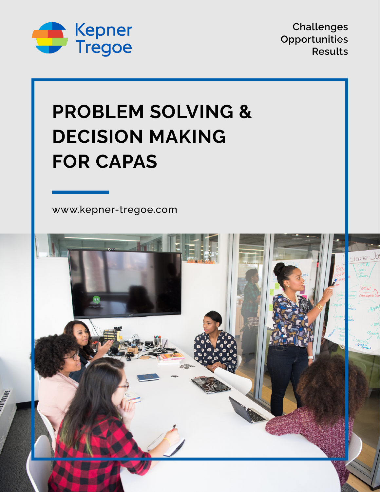

**Challenges Opportunities Results**

# **PROBLEM SOLVING & DECISION MAKING FOR CAPAS**

[www.kepner-tregoe.com](http://www.kepner-tregoe.com)